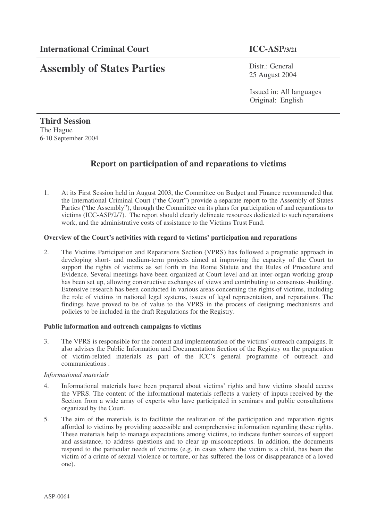# **Assembly of States Parties**

Distr.: General 25 August 2004

Issued in: All languages Original: English

**Third Session** The Hague 6-10 September 2004

## **Report on participation of and reparations to victims**

1. At its First Session held in August 2003, the Committee on Budget and Finance recommended that the International Criminal Court ("the Court") provide a separate report to the Assembly of States Parties ("the Assembly"), through the Committee on its plans for participation of and reparations to victims (ICC-ASP/2/7). The report should clearly delineate resources dedicated to such reparations work, and the administrative costs of assistance to the Victims Trust Fund.

### **Overview of the Court's activities with regard to victims' participation and reparations**

2. The Victims Participation and Reparations Section (VPRS) has followed a pragmatic approach in developing short- and medium-term projects aimed at improving the capacity of the Court to support the rights of victims as set forth in the Rome Statute and the Rules of Procedure and Evidence. Several meetings have been organized at Court level and an inter-organ working group has been set up, allowing constructive exchanges of views and contributing to consensus -building. Extensive research has been conducted in various areas concerning the rights of victims, including the role of victims in national legal systems, issues of legal representation, and reparations. The findings have proved to be of value to the VPRS in the process of designing mechanisms and policies to be included in the draft Regulations for the Registry.

#### **Public information and outreach campaigns to victims**

3. The VPRS is responsible for the content and implementation of the victims' outreach campaigns. It also advises the Public Information and Documentation Section of the Registry on the preparation of victim-related materials as part of the ICC's general programme of outreach and communications .

#### *Informational materials*

- 4. Informational materials have been prepared about victims' rights and how victims should access the VPRS. The content of the informational materials reflects a variety of inputs received by the Section from a wide array of experts who have participated in seminars and public consultations organized by the Court.
- 5. The aim of the materials is to facilitate the realization of the participation and reparation rights afforded to victims by providing accessible and comprehensive information regarding these rights. These materials help to manage expectations among victims, to indicate further sources of support and assistance, to address questions and to clear up misconceptions. In addition, the documents respond to the particular needs of victims (e.g. in cases where the victim is a child, has been the victim of a crime of sexual violence or torture, or has suffered the loss or disappearance of a loved one).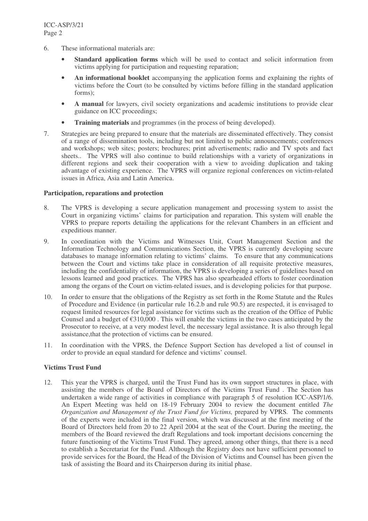- 6. These informational materials are:
	- **Standard application forms** which will be used to contact and solicit information from victims applying for participation and requesting reparation;
	- **An informational booklet** accompanying the application forms and explaining the rights of victims before the Court (to be consulted by victims before filling in the standard application forms);
	- **A manual** for lawyers, civil society organizations and academic institutions to provide clear guidance on ICC proceedings;
	- **Training materials** and programmes (in the process of being developed).
- 7. Strategies are being prepared to ensure that the materials are disseminated effectively. They consist of a range of dissemination tools, including but not limited to public announcements; conferences and workshops; web sites; posters; brochures; print advertisements; radio and TV spots and fact sheets.. The VPRS will also continue to build relationships with a variety of organizations in different regions and seek their cooperation with a view to avoiding duplication and taking advantage of existing experience. The VPRS will organize regional conferences on victim-related issues in Africa, Asia and Latin America.

#### **Participation, reparations and protection**

- 8. The VPRS is developing a secure application management and processing system to assist the Court in organizing victims' claims for participation and reparation. This system will enable the VPRS to prepare reports detailing the applications for the relevant Chambers in an efficient and expeditious manner.
- 9. In coordination with the Victims and Witnesses Unit, Court Management Section and the Information Technology and Communications Section, the VPRS is currently developing secure databases to manage information relating to victims' claims. To ensure that any communications between the Court and victims take place in consideration of all requisite protective measures, including the confidentiality of information, the VPRS is developing a series of guidelines based on lessons learned and good practices. The VPRS has also spearheaded efforts to foster coordination among the organs of the Court on victim-related issues, and is developing policies for that purpose.
- 10. In order to ensure that the obligations of the Registry as set forth in the Rome Statute and the Rules of Procedure and Evidence (in particular rule 16.2.b and rule 90.5) are respected, it is envisaged to request limited resources for legal assistance for victims such as the creation of the Office of Public Counsel and a budget of  $\epsilon$ 310,000. This will enable the victims in the two cases anticipated by the Prosecutor to receive, at a very modest level, the necessary legal assistance. It is also through legal assistance,that the protection of victims can be ensured.
- 11. In coordination with the VPRS, the Defence Support Section has developed a list of counsel in order to provide an equal standard for defence and victims' counsel.

#### **Victims Trust Fund**

12. This year the VPRS is charged, until the Trust Fund has its own support structures in place, with assisting the members of the Board of Directors of the Victims Trust Fund . The Section has undertaken a wide range of activities in compliance with paragraph 5 of resolution ICC-ASP/1/6. An Expert Meeting was held on 18-19 February 2004 to review the document entitled *The Organization and Management of the Trust Fund for Victims,* prepared by VPRS*.* The comments of the experts were included in the final version, which was discussed at the first meeting of the Board of Directors held from 20 to 22 April 2004 at the seat of the Court. During the meeting, the members of the Board reviewed the draft Regulations and took important decisions concerning the future functioning of the Victims Trust Fund. They agreed, among other things, that there is a need to establish a Secretariat for the Fund. Although the Registry does not have sufficient personnel to provide services for the Board, the Head of the Division of Victims and Counsel has been given the task of assisting the Board and its Chairperson during its initial phase.